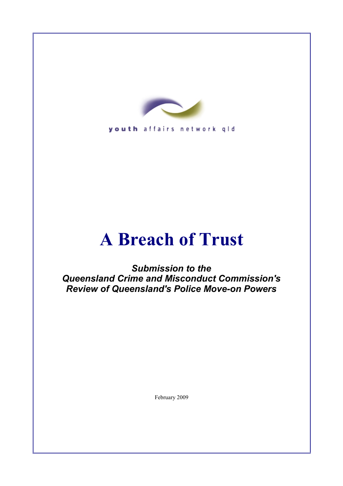

youth affairs network qld

# **A Breach of Trust**

*Submission to the Queensland Crime and Misconduct Commission's Review of Queensland's Police Move-on Powers*

February 2009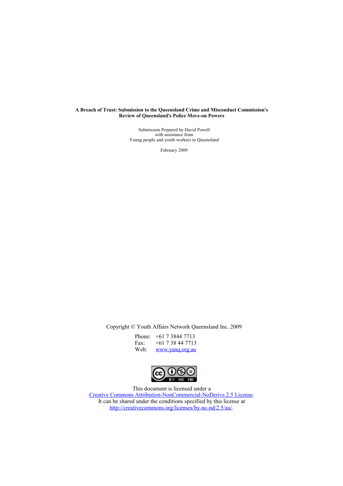#### **A Breach of Trust: Submission to the Queensland Crime and Misconduct Commission's Review of Queensland's Police Move-on Powers**

Submission Prepared by David Powell with assistance from Young people and youth workers in Queensland

February 2009

Copyright © Youth Affairs Network Queensland Inc. 2009

| Phone: | $+61$ 7 3844 7713  |
|--------|--------------------|
| Fax:   | $+61$ 7 38 44 7713 |
| Web:   | www.yang.org.au    |



This document is licensed under a [Creative Commons Attribution-NonCommercial-NoDerivs 2.5 License.](http://creativecommons.org/licenses/by-nc-nd/2.5/au/) It can be shared under the conditions specified by this license at [http://creativecommons.org/licenses/by-nc-nd/2.5/au/.](http://creativecommons.org/licenses/by-nc-nd/2.5/au/)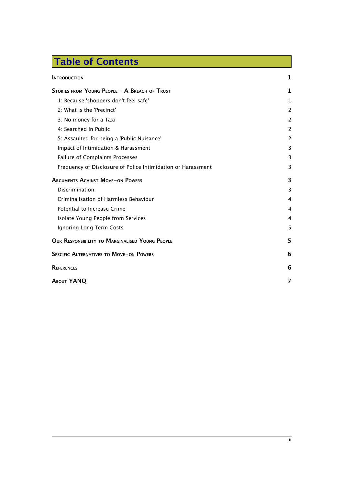# Table of Contents

| <b>INTRODUCTION</b>                                          | 1              |
|--------------------------------------------------------------|----------------|
| STORIES FROM YOUNG PEOPLE - A BREACH OF TRUST                | 1              |
| 1: Because 'shoppers don't feel safe'                        | 1              |
| 2: What is the 'Precinct'                                    | $\overline{c}$ |
| 3: No money for a Taxi                                       | $\overline{c}$ |
| 4: Searched in Public                                        | 2              |
| 5: Assaulted for being a 'Public Nuisance'                   | $\overline{c}$ |
| Impact of Intimidation & Harassment                          | 3              |
| Failure of Complaints Processes                              | 3              |
| Frequency of Disclosure of Police Intimidation or Harassment | 3              |
| <b>ARGUMENTS AGAINST MOVE-ON POWERS</b>                      | 3              |
| Discrimination                                               | 3              |
| Criminalisation of Harmless Behaviour                        | 4              |
| Potential to Increase Crime                                  | 4              |
| Isolate Young People from Services                           | 4              |
| Ignoring Long Term Costs                                     | 5              |
| OUR RESPONSIBILITY TO MARGINALISED YOUNG PEOPLE              | 5              |
| SPECIFIC ALTERNATIVES TO MOVE-ON POWERS                      | 6              |
| <b>REFERENCES</b>                                            |                |
| <b>ABOUT YANQ</b>                                            | 7              |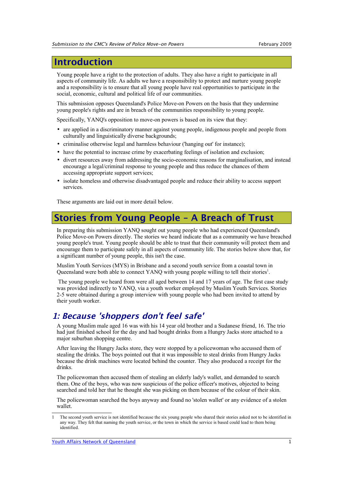# <span id="page-3-2"></span>Introduction

Young people have a right to the protection of adults. They also have a right to participate in all aspects of community life. As adults we have a responsibility to protect and nurture young people and a responsibility is to ensure that all young people have real opportunities to participate in the social, economic, cultural and political life of our communities.

This submission opposes Queensland's Police Move-on Powers on the basis that they undermine young people's rights and are in breach of the communities responsibility to young people.

Specifically, YANQ's opposition to move-on powers is based on its view that they:

- are applied in a discriminatory manner against young people, indigenous people and people from culturally and linguistically diverse backgrounds;
- criminalise otherwise legal and harmless behaviour ('hanging out' for instance);
- have the potential to increase crime by exacerbating feelings of isolation and exclusion;
- divert resources away from addressing the socio-economic reasons for marginalisation, and instead encourage a legal/criminal response to young people and thus reduce the chances of them accessing appropriate support services;
- isolate homeless and otherwise disadvantaged people and reduce their ability to access support services.

These arguments are laid out in more detail below.

# <span id="page-3-1"></span>Stories from Young People – A Breach of Trust

In preparing this submission YANQ sought out young people who had experienced Queensland's Police Move-on Powers directly. The stories we heard indicate that as a community we have breached young people's trust. Young people should be able to trust that their community will protect them and encourage them to participate safely in all aspects of community life. The stories below show that, for a significant number of young people, this isn't the case.

Muslim Youth Services (MYS) in Brisbane and a second youth service from a coastal town in Queensland were both able to connect YANQ with young people willing to tell their stories<sup>[1](#page-3-3)</sup>.

 The young people we heard from were all aged between 14 and 17 years of age. The first case study was provided indirectly to YANQ, via a youth worker employed by Muslim Youth Services. Stories 2-5 were obtained during a group interview with young people who had been invited to attend by their youth worker.

# <span id="page-3-0"></span>1: Because 'shoppers don't feel safe'

A young Muslim male aged 16 was with his 14 year old brother and a Sudanese friend, 16. The trio had just finished school for the day and had bought drinks from a Hungry Jacks store attached to a major suburban shopping centre.

After leaving the Hungry Jacks store, they were stopped by a policewoman who accussed them of stealing the drinks. The boys pointed out that it was impossible to steal drinks from Hungry Jacks because the drink machines were located behind the counter. They also produced a receipt for the drinks.

The policewoman then accused them of stealing an elderly lady's wallet, and demanded to search them. One of the boys, who was now suspicious of the police officer's motives, objected to being searched and told her that he thought she was picking on them because of the colour of their skin.

The policewoman searched the boys anyway and found no 'stolen wallet' or any evidence of a stolen wallet.

<span id="page-3-3"></span><sup>1</sup> The second youth service is not identified because the six young people who shared their stories asked not to be identified in any way. They felt that naming the youth service, or the town in which the service is based could lead to them being identified.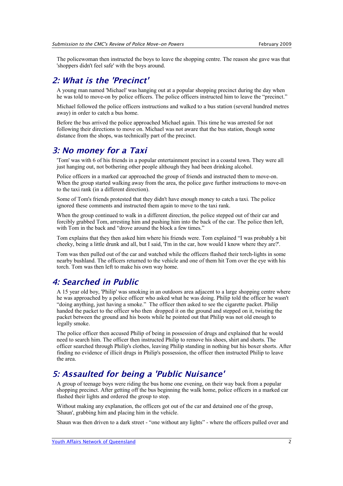The policewoman then instructed the boys to leave the shopping centre. The reason she gave was that 'shoppers didn't feel safe' with the boys around.

#### <span id="page-4-3"></span>2: What is the 'Precinct'

A young man named 'Michael' was hanging out at a popular shopping precinct during the day when he was told to move-on by police officers. The police officers instructed him to leave the "precinct."

Michael followed the police officers instructions and walked to a bus station (several hundred metres away) in order to catch a bus home.

Before the bus arrived the police approached Michael again. This time he was arrested for not following their directions to move on. Michael was not aware that the bus station, though some distance from the shops, was technically part of the precinct.

#### <span id="page-4-2"></span>3: No money for a Taxi

'Tom' was with 6 of his friends in a popular entertainment precinct in a coastal town. They were all just hanging out, not bothering other people although they had been drinking alcohol.

Police officers in a marked car approached the group of friends and instructed them to move-on. When the group started walking away from the area, the police gave further instructions to move-on to the taxi rank (in a different direction).

Some of Tom's friends protested that they didn't have enough money to catch a taxi. The police ignored these comments and instructed them again to move to the taxi rank.

When the group continued to walk in a different direction, the police stepped out of their car and forcibly grabbed Tom, arresting him and pushing him into the back of the car. The police then left, with Tom in the back and "drove around the block a few times."

Tom explains that they then asked him where his friends were. Tom explained "I was probably a bit cheeky, being a little drunk and all, but I said, 'I'm in the car, how would I know where they are?'.

Tom was then pulled out of the car and watched while the officers flashed their torch-lights in some nearby bushland. The officers returned to the vehicle and one of them hit Tom over the eye with his torch. Tom was then left to make his own way home.

#### <span id="page-4-1"></span>4: Searched in Public

A 15 year old boy, 'Philip' was smoking in an outdoors area adjacent to a large shopping centre where he was approached by a police officer who asked what he was doing. Philip told the officer he wasn't "doing anything, just having a smoke." The officer then asked to see the cigarette packet. Philip handed the packet to the officer who then dropped it on the ground and stepped on it, twisting the packet between the ground and his boots while he pointed out that Philip was not old enough to legally smoke.

The police officer then accused Philip of being in possession of drugs and explained that he would need to search him. The officer then instructed Philip to remove his shoes, shirt and shorts. The officer searched through Philip's clothes, leaving Philip standing in nothing but his boxer shorts. After finding no evidence of illicit drugs in Philip's possession, the officer then instructed Philip to leave the area.

# <span id="page-4-0"></span>5: Assaulted for being a 'Public Nuisance'

A group of teenage boys were riding the bus home one evening, on their way back from a popular shopping precinct. After getting off the bus beginning the walk home, police officers in a marked car flashed their lights and ordered the group to stop.

Without making any explanation, the officers got out of the car and detained one of the group, 'Shaun', grabbing him and placing him in the vehicle.

Shaun was then driven to a dark street - "one without any lights" - where the officers pulled over and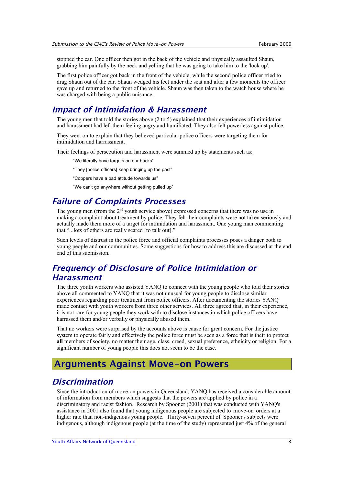stopped the car. One officer then got in the back of the vehicle and physically assaulted Shaun, grabbing him painfully by the neck and yelling that he was going to take him to the 'lock up'.

The first police officer got back in the front of the vehicle, while the second police officer tried to drag Shaun out of the car. Shaun wedged his feet under the seat and after a few moments the officer gave up and returned to the front of the vehicle. Shaun was then taken to the watch house where he was charged with being a public nuisance.

#### <span id="page-5-4"></span>Impact of Intimidation & Harassment

The young men that told the stories above (2 to 5) explained that their experiences of intimidation and harassment had left them feeling angry and humiliated. They also felt powerless against police.

They went on to explain that they believed particular police officers were targeting them for intimidation and harrassment.

Their feelings of persecution and harassment were summed up by statements such as:

"We literally have targets on our backs"

"They [police officers] keep bringing up the past"

"Coppers have a bad attitude towards us"

"We can't go anywhere without getting pulled up"

### <span id="page-5-3"></span>Failure of Complaints Processes

The young men (from the  $2<sup>nd</sup>$  youth service above) expressed concerns that there was no use in making a complaint about treatment by police. They felt their complaints were not taken seriously and actually made them more of a target for intimidation and harassment. One young man commenting that "...lots of others are really scared [to talk out]."

Such levels of distrust in the police force and official complaints processes poses a danger both to young people and our communities. Some suggestions for how to address this are discussed at the end end of this submission.

# <span id="page-5-2"></span>Frequency of Disclosure of Police Intimidation or Harassment

The three youth workers who assisted YANQ to connect with the young people who told their stories above all commented to YANQ that it was not unusual for young people to disclose similar experiences regarding poor treatment from police officers. After documenting the stories YANQ made contact with youth workers from three other services. All three agreed that, in their experience, it is not rare for young people they work with to disclose instances in which police officers have harrassed them and/or verbally or physically abused them.

That no workers were surprised by the accounts above is cause for great concern. For the justice system to operate fairly and effectively the police force must be seen as a force that is their to protect **all** members of society, no matter their age, class, creed, sexual preference, ethnicity or religion. For a significant number of young people this does not seem to be the case.

### <span id="page-5-1"></span>Arguments Against Move-on Powers

#### <span id="page-5-0"></span>Discrimination

Since the introduction of move-on powers in Queensland, YANQ has received a considerable amount of information from members which suggests that the powers are applied by police in a discriminatory and racist fashion. Research by Spooner (2001) that was conducted with YANQ's assistance in 2001 also found that young indigenous people are subjected to 'move-on' orders at a higher rate than non-indigenous young people. Thirty-seven percent of Spooner's subjects were indigenous, although indigenous people (at the time of the study) represented just 4% of the general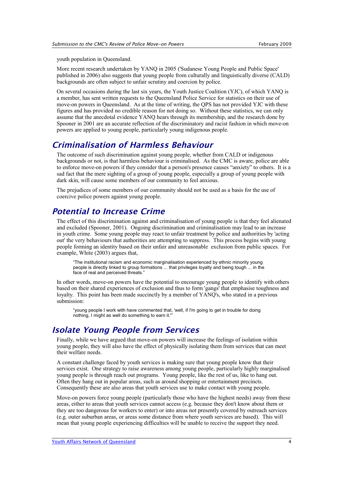youth population in Queensland.

More recent research undertaken by YANQ in 2005 ('Sudanese Young People and Public Space' published in 2006) also suggests that young people from culturally and linguistically diverse (CALD) backgrounds are often subject to unfair scrutiny and coercion by police.

On several occasions during the last six years, the Youth Justice Coalition (YJC), of which YANQ is a member, has sent written requests to the Queensland Police Service for statistics on their use of move-on powers in Queensland. As at the time of writing, the QPS has not provided YJC with these figures and has provided no credible reason for not doing so. Without these statistics, we can only assume that the anecdotal evidence YANQ hears through its membership, and the research done by Spooner in 2001 are an accurate reflection of the discriminatory and racist fashion in which move-on powers are applied to young people, particularly young indigenous people.

#### <span id="page-6-2"></span>Criminalisation of Harmless Behaviour

The outcome of such discrimination against young people, whether from CALD or indigenous backgrounds or not, is that harmless behaviour is criminalised. As the CMC is aware, police are able to enforce move-on powers if they consider that a person's presence causes "anxiety" to others. It is a sad fact that the mere sighting of a group of young people, especially a group of young people with dark skin, will cause some members of our community to feel anxious.

The prejudices of some members of our community should not be used as a basis for the use of coercive police powers against young people.

#### <span id="page-6-1"></span>Potential to Increase Crime

The effect of this discrimination against and criminalisation of young people is that they feel alienated and excluded (Spooner, 2001). Ongoing discrimination and criminalisation may lead to an increase in youth crime. Some young people may react to unfair treatment by police and authorities by 'acting out' the very behaviours that authorities are attempting to suppress. This process begins with young people forming an identity based on their unfair and unreasonable exclusion from public spaces. For example, White (2003) argues that,

"The institutional racism and economic marginalisation experienced by ethnic minority young people is directly linked to group formations ... that privileges loyalty and being tough ... in the face of real and perceived threats."

In other words, move-on powers have the potential to encourage young people to identify with others based on their shared experiences of exclusion and thus to form 'gangs' that emphasise toughness and loyalty. This point has been made succinctly by a member of YANQ's, who stated in a previous submission:

"young people I work with have commented that, 'well, if I'm going to get in trouble for doing nothing, I might as well do something to earn it.'

# <span id="page-6-0"></span>Isolate Young People from Services

Finally, while we have argued that move-on powers will increase the feelings of isolation within young people, they will also have the effect of physically isolating them from services that can meet their welfare needs.

A constant challenge faced by youth services is making sure that young people know that their services exist. One strategy to raise awareness among young people, particularly highly marginalised young people is through reach out programs. Young people, like the rest of us, like to hang out. Often they hang out in popular areas, such as around shopping or entertainment precincts. Consequently these are also areas that youth services use to make contact with young people.

Move-on powers force young people (particularly those who have the highest needs) away from these areas, either to areas that youth services cannot access (e.g. because they don't know about them or they are too dangerous for workers to enter) or into areas not presently covered by outreach services (e.g. outer suburban areas, or areas some distance from where youth services are based). This will mean that young people experiencing difficulties will be unable to receive the support they need.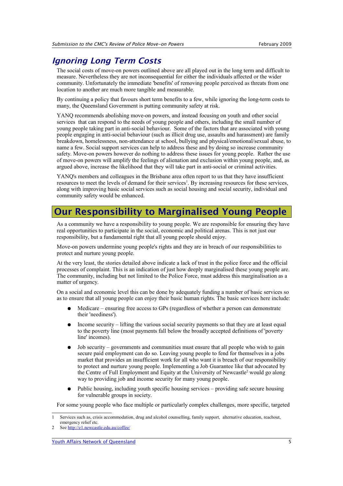#### <span id="page-7-1"></span>Ignoring Long Term Costs

The social costs of move-on powers outlined above are all played out in the long term and difficult to measure. Nevertheless they are not inconsequential for either the individuals affected or the wider community. Unfortunately the immediate 'benefits' of removing people perceived as threats from one location to another are much more tangible and measurable.

By continuing a policy that favours short term benefits to a few, while ignoring the long-term costs to many, the Queensland Government is putting community safety at risk.

YANQ recommends abolishing move-on powers, and instead focusing on youth and other social services that can respond to the needs of young people and others, including the small number of young people taking part in anti-social behaviour. Some of the factors that are associated with young people engaging in anti-social behaviour (such as illicit drug use, assaults and harassment) are family breakdown, homelessness, non-attendance at school, bullying and physical/emotional/sexual abuse, to name a few. Social support services can help to address these and by doing so increase community safety. Move-on powers however do nothing to address these issues for young people. Rather the use of move-on powers will amplify the feelings of alienation and exclusion within young people, and, as argued above, increase the likelihood that they will take part in anti-social or criminal activities.

YANQ's members and colleagues in the Brisbane area often report to us that they have insufficient resources to meet the levels of demand for their services<sup>[1](#page-7-2)</sup>. By increasing resources for these services, along with improving basic social services such as social housing and social security, individual and community safety would be enhanced.

# <span id="page-7-0"></span>Our Responsibility to Marginalised Young People

As a community we have a responsibility to young people. We are responsible for ensuring they have real opportunities to participate in the social, economic and political arenas. This is not just our responsibility, but a fundamental right that all young people should enjoy.

Move-on powers undermine young people's rights and they are in breach of our responsibilities to protect and nurture young people.

At the very least, the stories detailed above indicate a lack of trust in the police force and the official processes of complaint. This is an indication of just how deeply marginalised these young people are. The community, including but not limited to the Police Force, must address this marginalisation as a matter of urgency.

On a social and economic level this can be done by adequately funding a number of basic services so as to ensure that all young people can enjoy their basic human rights. The basic services here include:

- Medicare ensuring free access to GPs (regardless of whether a person can demonstrate their 'neediness').
- Income security lifting the various social security payments so that they are at least equal to the poverty line (most payments fall below the broadly accepted definitions of 'poverty line' incomes).
- Job security governments and communities must ensure that all people who wish to gain secure paid employment can do so. Leaving young people to fend for themselves in a jobs market that provides an insufficient work for all who want it is breach of our responsibility to protect and nurture young people. Implementing a Job Guarantee like that advocated by the Centre of Full Employment and Equity at the University of Newcastle<sup>[2](#page-7-3)</sup> would go along way to providing job and income security for many young people.
- Public housing, including youth specific housing services providing safe secure housing for vulnerable groups in society.

For some young people who face multiple or particularly complex challenges, more specific, targeted

<span id="page-7-2"></span><sup>1</sup> Services such as, crisis accommodation, drug and alcohol counselling, family support, alternative education, reachout, emergency relief etc.

<span id="page-7-3"></span><sup>2</sup> See<http://e1.newcastle.edu.au/coffee/>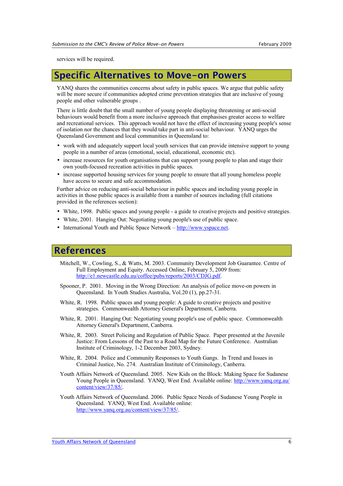services will be required.

# <span id="page-8-1"></span>Specific Alternatives to Move-on Powers

YANO shares the communities concerns about safety in public spaces. We argue that public safety will be more secure if communities adopted crime prevention strategies that are inclusive of young people and other vulnerable groups .

There is little doubt that the small number of young people displaying threatening or anti-social behaviours would benefit from a more inclusive approach that emphasises greater access to welfare and recreational services. This approach would not have the effect of increasing young people's sense of isolation nor the chances that they would take part in anti-social behaviour. YANQ urges the Queensland Government and local communities in Queensland to:

- work with and adequately support local youth services that can provide intensive support to young people in a number of areas (emotional, social, educational, economic etc).
- increase resources for youth organisations that can support young people to plan and stage their own youth-focused recreation activities in public spaces.
- increase supported housing services for young people to ensure that all young homeless people have access to secure and safe accommodation.

Further advice on reducing anti-social behaviour in public spaces and including young people in activities in those public spaces is available from a number of sources including (full citations provided in the references section):

- White, 1998. Public spaces and young people a guide to creative projects and positive strategies.
- White, 2001. Hanging Out: Negotiating young people's use of public space.
- International Youth and Public Space Network  $-\frac{http://www.yspace.net.}$

# <span id="page-8-0"></span>References

- Mitchell, W., Cowling, S., & Watts, M. 2003. Community Development Job Guarantee. Centre of Full Employment and Equity. Accessed Online, February 5, 2009 from: [http://e1.newcastle.edu.au/coffee/pubs/reports/2003/CDJG.pdf.](http://e1.newcastle.edu.au/coffee/pubs/reports/2003/CDJG.pdf)
- Spooner, P. 2001. Moving in the Wrong Direction: An analysis of police move-on powers in Queensland. In Youth Studies Australia, Vol.20 (1), pp.27-31.
- White, R. 1998. Public spaces and young people: A guide to creative projects and positive strategies. Commonwealth Attorney General's Department, Canberra.
- White, R. 2001. Hanging Out: Negotiating young people's use of public space. Commonwealth Attorney General's Department, Canberra.
- White, R. 2003. Street Policing and Regulation of Public Space. Paper presented at the Juvenile Justice: From Lessons of the Past to a Road Map for the Future Conference. Australian Institute of Criminology, 1-2 December 2003, Sydney.
- White, R. 2004. Police and Community Responses to Youth Gangs. In Trend and Issues in Criminal Justice, No. 274. Australian Institute of Criminology, Canberra.
- Youth Affairs Network of Queensland. 2005. New Kids on the Block: Making Space for Sudanese Young People in Queensland. YANQ, West End. Available online: [http://www.yanq.org.au/](http://www.yanq.org.au/content/view/37/85/) [content/view/37/85/.](http://www.yanq.org.au/content/view/37/85/)
- Youth Affairs Network of Queensland. 2006. Public Space Needs of Sudanese Young People in Queensland. YANQ, West End. Available online: [http://www.yanq.org.au/content/view/37/85/.](http://www.yanq.org.au/content/view/37/85/)